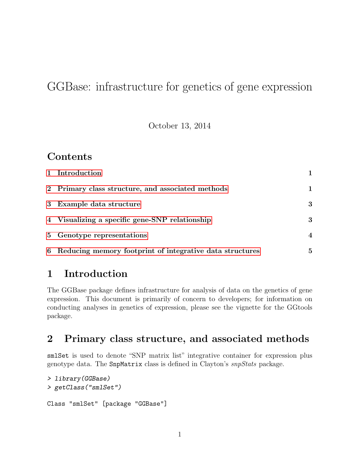# GGBase: infrastructure for genetics of gene expression

October 13, 2014

### **Contents**

| 1 Introduction                                             |              |
|------------------------------------------------------------|--------------|
| 2 Primary class structure, and associated methods          |              |
| 3 Example data structure                                   | 3            |
| 4 Visualizing a specific gene-SNP relationship             | $\mathbf{3}$ |
| 5 Genotype representations                                 | 4            |
| 6 Reducing memory footprint of integrative data structures | $\mathbf{5}$ |

### <span id="page-0-0"></span>1 Introduction

The GGBase package defines infrastructure for analysis of data on the genetics of gene expression. This document is primarily of concern to developers; for information on conducting analyses in genetics of expression, please see the vignette for the GGtools package.

### <span id="page-0-1"></span>2 Primary class structure, and associated methods

smlSet is used to denote "SNP matrix list" integrative container for expression plus genotype data. The SnpMatrix class is defined in Clayton's snpStats package.

```
> library(GGBase)
> getClass("smlSet")
Class "smlSet" [package "GGBase"]
```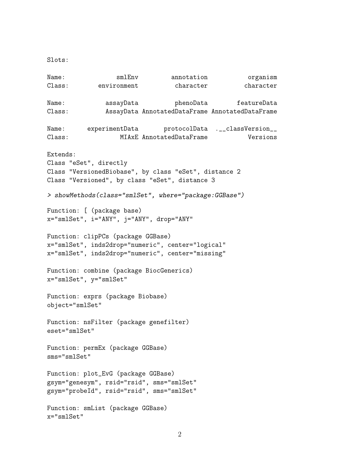Slots:

```
Name: smlEnv annotation organism
Class: environment character character
Name: assayData phenoData featureData
Class: AssayData AnnotatedDataFrame AnnotatedDataFrame
Name: experimentData protocolData .__classVersion__
Class: MIAxE AnnotatedDataFrame Versions
Extends:
Class "eSet", directly
Class "VersionedBiobase", by class "eSet", distance 2
Class "Versioned", by class "eSet", distance 3
> showMethods(class="smlSet", where="package:GGBase")
Function: [ (package base)
x="smlSet", i="ANY", j="ANY", drop="ANY"
Function: clipPCs (package GGBase)
x="smlSet", inds2drop="numeric", center="logical"
x="smlSet", inds2drop="numeric", center="missing"
Function: combine (package BiocGenerics)
x="smlSet", y="smlSet"
Function: exprs (package Biobase)
object="smlSet"
Function: nsFilter (package genefilter)
eset="smlSet"
Function: permEx (package GGBase)
sms="smlSet"
Function: plot_EvG (package GGBase)
gsym="genesym", rsid="rsid", sms="smlSet"
gsym="probeId", rsid="rsid", sms="smlSet"
Function: smList (package GGBase)
x="smlSet"
```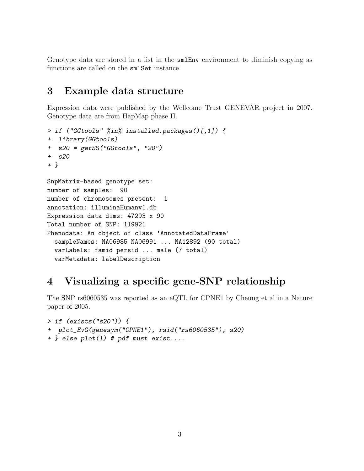Genotype data are stored in a list in the smlEnv environment to diminish copying as functions are called on the smlSet instance.

#### <span id="page-2-0"></span>3 Example data structure

Expression data were published by the Wellcome Trust GENEVAR project in 2007. Genotype data are from HapMap phase II.

```
> if ("GGtools" %in% installed.packages()[,1]) {
+ library(GGtools)
+ s20 = getSS("GGtools", "20")
+ s20
+ }
SnpMatrix-based genotype set:
number of samples: 90
number of chromosomes present: 1
annotation: illuminaHumanv1.db
Expression data dims: 47293 x 90
Total number of SNP: 119921
Phenodata: An object of class 'AnnotatedDataFrame'
  sampleNames: NA06985 NA06991 ... NA12892 (90 total)
  varLabels: famid persid ... male (7 total)
  varMetadata: labelDescription
```
# <span id="page-2-1"></span>4 Visualizing a specific gene-SNP relationship

The SNP rs6060535 was reported as an eQTL for CPNE1 by Cheung et al in a Nature paper of 2005.

```
> if (exists("s20")) {
+ plot_EvG(genesym("CPNE1"), rsid("rs6060535"), s20)
+ } else plot(1) # pdf must exist....
```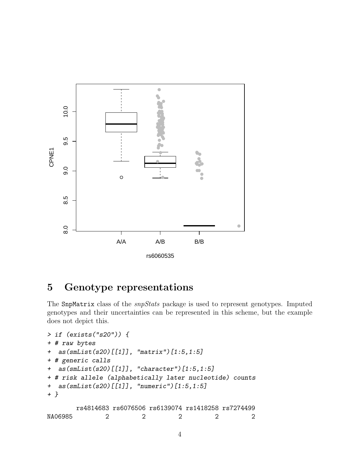

# <span id="page-3-0"></span>5 Genotype representations

The SnpMatrix class of the *snpStats* package is used to represent genotypes. Imputed genotypes and their uncertainties can be represented in this scheme, but the example does not depict this.

```
> if (exists("s20")) {
+ # raw bytes
+ as(smList(s20)[[1]], "matrix")[1:5,1:5]
+ # generic calls
+ as(smList(s20)[[1]], "character")[1:5,1:5]
+ # risk allele (alphabetically later nucleotide) counts
+ as(smList(s20)[[1]], "numeric")[1:5,1:5]
+ }
       rs4814683 rs6076506 rs6139074 rs1418258 rs7274499
NA06985 2 2 2 2 2
```